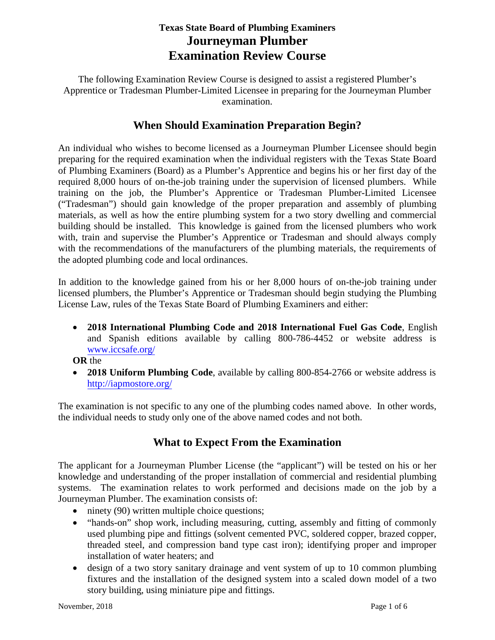# **Texas State Board of Plumbing Examiners Journeyman Plumber Examination Review Course**

The following Examination Review Course is designed to assist a registered Plumber's Apprentice or Tradesman Plumber-Limited Licensee in preparing for the Journeyman Plumber examination.

# **When Should Examination Preparation Begin?**

An individual who wishes to become licensed as a Journeyman Plumber Licensee should begin preparing for the required examination when the individual registers with the Texas State Board of Plumbing Examiners (Board) as a Plumber's Apprentice and begins his or her first day of the required 8,000 hours of on-the-job training under the supervision of licensed plumbers. While training on the job, the Plumber's Apprentice or Tradesman Plumber-Limited Licensee ("Tradesman") should gain knowledge of the proper preparation and assembly of plumbing materials, as well as how the entire plumbing system for a two story dwelling and commercial building should be installed. This knowledge is gained from the licensed plumbers who work with, train and supervise the Plumber's Apprentice or Tradesman and should always comply with the recommendations of the manufacturers of the plumbing materials, the requirements of the adopted plumbing code and local ordinances.

In addition to the knowledge gained from his or her 8,000 hours of on-the-job training under licensed plumbers, the Plumber's Apprentice or Tradesman should begin studying the Plumbing License Law, rules of the Texas State Board of Plumbing Examiners and either:

• **2018 International Plumbing Code and 2018 International Fuel Gas Code**, English and Spanish editions available by calling 800-786-4452 or website address is [www.iccsafe.org/](http://www.iccsafe.org/)

**OR** the

• **2018 Uniform Plumbing Code**, available by calling 800-854-2766 or website address is <http://iapmostore.org/>

The examination is not specific to any one of the plumbing codes named above. In other words, the individual needs to study only one of the above named codes and not both.

# **What to Expect From the Examination**

The applicant for a Journeyman Plumber License (the "applicant") will be tested on his or her knowledge and understanding of the proper installation of commercial and residential plumbing systems. The examination relates to work performed and decisions made on the job by a Journeyman Plumber. The examination consists of:

- ninety (90) written multiple choice questions;
- "hands-on" shop work, including measuring, cutting, assembly and fitting of commonly used plumbing pipe and fittings (solvent cemented PVC, soldered copper, brazed copper, threaded steel, and compression band type cast iron); identifying proper and improper installation of water heaters; and
- design of a two story sanitary drainage and vent system of up to 10 common plumbing fixtures and the installation of the designed system into a scaled down model of a two story building, using miniature pipe and fittings.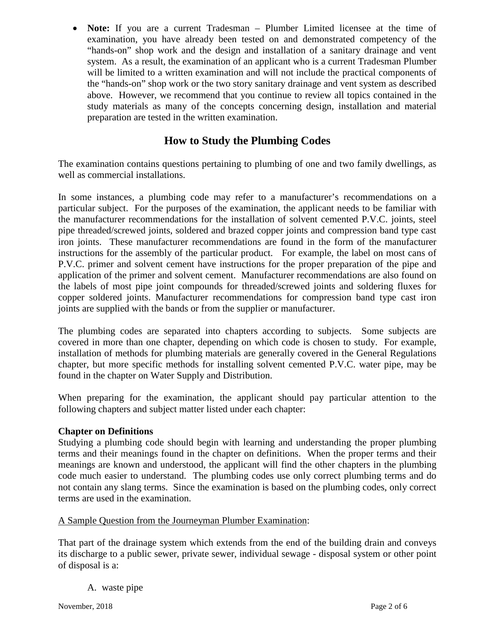• **Note:** If you are a current Tradesman – Plumber Limited licensee at the time of examination, you have already been tested on and demonstrated competency of the "hands-on" shop work and the design and installation of a sanitary drainage and vent system. As a result, the examination of an applicant who is a current Tradesman Plumber will be limited to a written examination and will not include the practical components of the "hands-on" shop work or the two story sanitary drainage and vent system as described above. However, we recommend that you continue to review all topics contained in the study materials as many of the concepts concerning design, installation and material preparation are tested in the written examination.

# **How to Study the Plumbing Codes**

The examination contains questions pertaining to plumbing of one and two family dwellings, as well as commercial installations.

In some instances, a plumbing code may refer to a manufacturer's recommendations on a particular subject. For the purposes of the examination, the applicant needs to be familiar with the manufacturer recommendations for the installation of solvent cemented P.V.C. joints, steel pipe threaded/screwed joints, soldered and brazed copper joints and compression band type cast iron joints. These manufacturer recommendations are found in the form of the manufacturer instructions for the assembly of the particular product. For example, the label on most cans of P.V.C. primer and solvent cement have instructions for the proper preparation of the pipe and application of the primer and solvent cement. Manufacturer recommendations are also found on the labels of most pipe joint compounds for threaded/screwed joints and soldering fluxes for copper soldered joints. Manufacturer recommendations for compression band type cast iron joints are supplied with the bands or from the supplier or manufacturer.

The plumbing codes are separated into chapters according to subjects. Some subjects are covered in more than one chapter, depending on which code is chosen to study. For example, installation of methods for plumbing materials are generally covered in the General Regulations chapter, but more specific methods for installing solvent cemented P.V.C. water pipe, may be found in the chapter on Water Supply and Distribution.

When preparing for the examination, the applicant should pay particular attention to the following chapters and subject matter listed under each chapter:

# **Chapter on Definitions**

Studying a plumbing code should begin with learning and understanding the proper plumbing terms and their meanings found in the chapter on definitions. When the proper terms and their meanings are known and understood, the applicant will find the other chapters in the plumbing code much easier to understand. The plumbing codes use only correct plumbing terms and do not contain any slang terms. Since the examination is based on the plumbing codes, only correct terms are used in the examination.

## A Sample Question from the Journeyman Plumber Examination:

That part of the drainage system which extends from the end of the building drain and conveys its discharge to a public sewer, private sewer, individual sewage - disposal system or other point of disposal is a:

A. waste pipe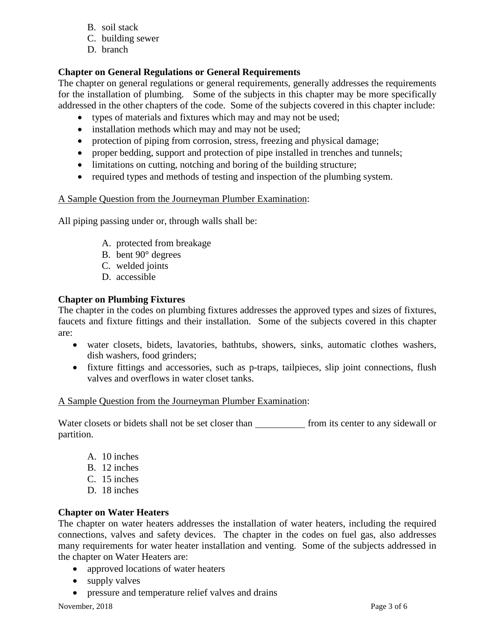- B. soil stack
- C. building sewer
- D. branch

# **Chapter on General Regulations or General Requirements**

The chapter on general regulations or general requirements, generally addresses the requirements for the installation of plumbing. Some of the subjects in this chapter may be more specifically addressed in the other chapters of the code. Some of the subjects covered in this chapter include:

- types of materials and fixtures which may and may not be used;
- installation methods which may and may not be used;
- protection of piping from corrosion, stress, freezing and physical damage;
- proper bedding, support and protection of pipe installed in trenches and tunnels;
- limitations on cutting, notching and boring of the building structure;
- required types and methods of testing and inspection of the plumbing system.

# A Sample Question from the Journeyman Plumber Examination:

All piping passing under or, through walls shall be:

- A. protected from breakage
- B. bent 90° degrees
- C. welded joints
- D. accessible

# **Chapter on Plumbing Fixtures**

The chapter in the codes on plumbing fixtures addresses the approved types and sizes of fixtures, faucets and fixture fittings and their installation. Some of the subjects covered in this chapter are:

- water closets, bidets, lavatories, bathtubs, showers, sinks, automatic clothes washers, dish washers, food grinders;
- fixture fittings and accessories, such as p-traps, tailpieces, slip joint connections, flush valves and overflows in water closet tanks.

## A Sample Question from the Journeyman Plumber Examination:

Water closets or bidets shall not be set closer than from its center to any sidewall or partition.

- A. 10 inches
- B. 12 inches
- C. 15 inches
- D. 18 inches

# **Chapter on Water Heaters**

The chapter on water heaters addresses the installation of water heaters, including the required connections, valves and safety devices. The chapter in the codes on fuel gas, also addresses many requirements for water heater installation and venting. Some of the subjects addressed in the chapter on Water Heaters are:

- approved locations of water heaters
- supply valves
- pressure and temperature relief valves and drains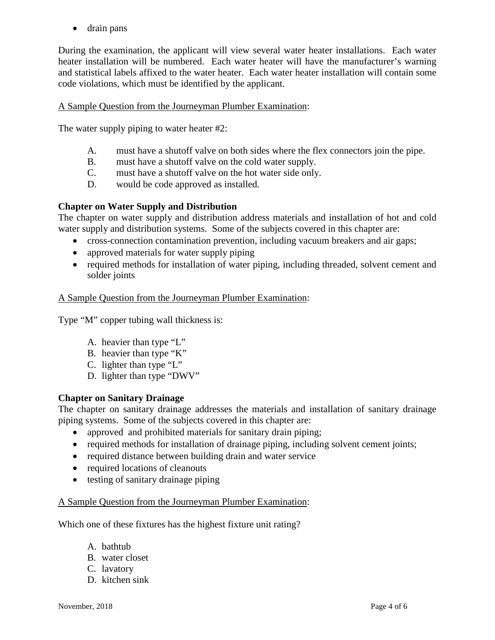• drain pans

During the examination, the applicant will view several water heater installations. Each water heater installation will be numbered. Each water heater will have the manufacturer's warning and statistical labels affixed to the water heater. Each water heater installation will contain some code violations, which must be identified by the applicant.

## A Sample Question from the Journeyman Plumber Examination:

The water supply piping to water heater #2:

- A. must have a shutoff valve on both sides where the flex connectors join the pipe.
- B. must have a shutoff valve on the cold water supply.
- C. must have a shutoff valve on the hot water side only.
- D. would be code approved as installed.

#### **Chapter on Water Supply and Distribution**

The chapter on water supply and distribution address materials and installation of hot and cold water supply and distribution systems. Some of the subjects covered in this chapter are:

- cross-connection contamination prevention, including vacuum breakers and air gaps;
- approved materials for water supply piping
- required methods for installation of water piping, including threaded, solvent cement and solder joints

#### A Sample Question from the Journeyman Plumber Examination:

Type "M" copper tubing wall thickness is:

- A. heavier than type "L"
- B. heavier than type "K"
- C. lighter than type "L"
- D. lighter than type "DWV"

#### **Chapter on Sanitary Drainage**

The chapter on sanitary drainage addresses the materials and installation of sanitary drainage piping systems. Some of the subjects covered in this chapter are:

- approved and prohibited materials for sanitary drain piping;
- required methods for installation of drainage piping, including solvent cement joints;
- required distance between building drain and water service
- required locations of cleanouts
- testing of sanitary drainage piping

#### A Sample Question from the Journeyman Plumber Examination:

Which one of these fixtures has the highest fixture unit rating?

- A. bathtub
- B. water closet
- C. lavatory
- D. kitchen sink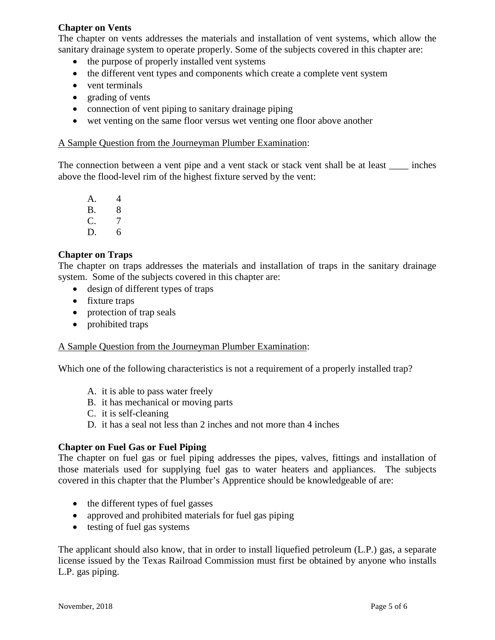## **Chapter on Vents**

The chapter on vents addresses the materials and installation of vent systems, which allow the sanitary drainage system to operate properly. Some of the subjects covered in this chapter are:

- the purpose of properly installed vent systems
- the different vent types and components which create a complete vent system
- vent terminals
- grading of vents
- connection of vent piping to sanitary drainage piping
- wet venting on the same floor versus wet venting one floor above another

#### A Sample Question from the Journeyman Plumber Examination:

The connection between a vent pipe and a vent stack or stack vent shall be at least inches above the flood-level rim of the highest fixture served by the vent:

A. 4 B. 8 C. 7 D. 6

## **Chapter on Traps**

The chapter on traps addresses the materials and installation of traps in the sanitary drainage system. Some of the subjects covered in this chapter are:

- design of different types of traps
- fixture traps
- protection of trap seals
- prohibited traps

## A Sample Question from the Journeyman Plumber Examination:

Which one of the following characteristics is not a requirement of a properly installed trap?

- A. it is able to pass water freely
- B. it has mechanical or moving parts
- C. it is self-cleaning
- D. it has a seal not less than 2 inches and not more than 4 inches

## **Chapter on Fuel Gas or Fuel Piping**

The chapter on fuel gas or fuel piping addresses the pipes, valves, fittings and installation of those materials used for supplying fuel gas to water heaters and appliances. The subjects covered in this chapter that the Plumber's Apprentice should be knowledgeable of are:

- the different types of fuel gasses
- approved and prohibited materials for fuel gas piping
- testing of fuel gas systems

The applicant should also know, that in order to install liquefied petroleum (L.P.) gas, a separate license issued by the Texas Railroad Commission must first be obtained by anyone who installs L.P. gas piping.